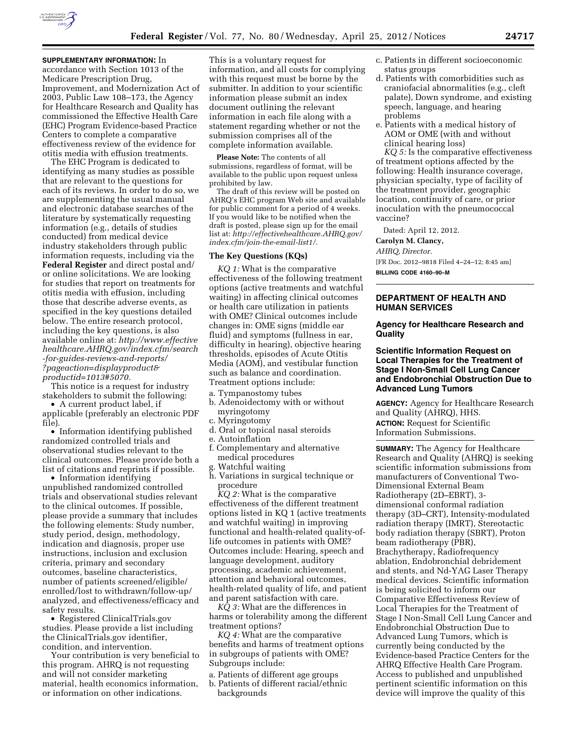

**SUPPLEMENTARY INFORMATION:** In accordance with Section 1013 of the Medicare Prescription Drug, Improvement, and Modernization Act of 2003, Public Law 108–173, the Agency for Healthcare Research and Quality has commissioned the Effective Health Care (EHC) Program Evidence-based Practice Centers to complete a comparative effectiveness review of the evidence for otitis media with effusion treatments.

The EHC Program is dedicated to identifying as many studies as possible that are relevant to the questions for each of its reviews. In order to do so, we are supplementing the usual manual and electronic database searches of the literature by systematically requesting information (e.g., details of studies conducted) from medical device industry stakeholders through public information requests, including via the **Federal Register** and direct postal and/ or online solicitations. We are looking for studies that report on treatments for otitis media with effusion, including those that describe adverse events, as specified in the key questions detailed below. The entire research protocol, including the key questions, is also available online at: *[http://www.effective](http://www.effectivehealthcare.AHRQ.gov/index.cfm/search-for-guides-reviews-and-reports/?pageaction=displayproduct&productid=1013#5070) [healthcare.AHRQ.gov/index.cfm/search](http://www.effectivehealthcare.AHRQ.gov/index.cfm/search-for-guides-reviews-and-reports/?pageaction=displayproduct&productid=1013#5070) [-for-guides-reviews-and-reports/](http://www.effectivehealthcare.AHRQ.gov/index.cfm/search-for-guides-reviews-and-reports/?pageaction=displayproduct&productid=1013#5070)  [?pageaction=displayproduct&](http://www.effectivehealthcare.AHRQ.gov/index.cfm/search-for-guides-reviews-and-reports/?pageaction=displayproduct&productid=1013#5070) [productid=1013#5070.](http://www.effectivehealthcare.AHRQ.gov/index.cfm/search-for-guides-reviews-and-reports/?pageaction=displayproduct&productid=1013#5070)* 

This notice is a request for industry stakeholders to submit the following:

• A current product label, if applicable (preferably an electronic PDF file).

• Information identifying published randomized controlled trials and observational studies relevant to the clinical outcomes. Please provide both a list of citations and reprints if possible.

• Information identifying unpublished randomized controlled trials and observational studies relevant to the clinical outcomes. If possible, please provide a summary that includes the following elements: Study number, study period, design, methodology, indication and diagnosis, proper use instructions, inclusion and exclusion criteria, primary and secondary outcomes, baseline characteristics, number of patients screened/eligible/ enrolled/lost to withdrawn/follow-up/ analyzed, and effectiveness/efficacy and safety results.

• Registered ClinicalTrials.gov studies. Please provide a list including the ClinicalTrials.gov identifier, condition, and intervention.

Your contribution is very beneficial to this program. AHRQ is not requesting and will not consider marketing material, health economics information, or information on other indications.

This is a voluntary request for information, and all costs for complying with this request must be borne by the submitter. In addition to your scientific information please submit an index document outlining the relevant information in each file along with a statement regarding whether or not the submission comprises all of the complete information available.

**Please Note:** The contents of all submissions, regardless of format, will be available to the public upon request unless prohibited by law.

The draft of this review will be posted on AHRQ's EHC program Web site and available for public comment for a period of 4 weeks. If you would like to be notified when the draft is posted, please sign up for the email list at: *[http://effectivehealthcare.AHRQ.gov/](http://effectivehealthcare.AHRQ.gov/index.cfm/join-the-email-list1/) [index.cfm/join-the-email-list1/.](http://effectivehealthcare.AHRQ.gov/index.cfm/join-the-email-list1/)* 

#### **The Key Questions (KQs)**

*KQ 1:* What is the comparative effectiveness of the following treatment options (active treatments and watchful waiting) in affecting clinical outcomes or health care utilization in patients with OME? Clinical outcomes include changes in: OME signs (middle ear fluid) and symptoms (fullness in ear, difficulty in hearing), objective hearing thresholds, episodes of Acute Otitis Media (AOM), and vestibular function such as balance and coordination. Treatment options include:

a. Tympanostomy tubes

- b. Adenoidectomy with or without myringotomy
- c. Myringotomy
- d. Oral or topical nasal steroids
- e. Autoinflation
- f. Complementary and alternative medical procedures
- g. Watchful waiting
- h. Variations in surgical technique or procedure

*KQ 2:* What is the comparative effectiveness of the different treatment options listed in KQ 1 (active treatments and watchful waiting) in improving functional and health-related quality-oflife outcomes in patients with OME? Outcomes include: Hearing, speech and language development, auditory processing, academic achievement, attention and behavioral outcomes, health-related quality of life, and patient and parent satisfaction with care.

*KQ 3:* What are the differences in harms or tolerability among the different treatment options?

*KQ 4:* What are the comparative benefits and harms of treatment options in subgroups of patients with OME? Subgroups include:

- a. Patients of different age groups
- b. Patients of different racial/ethnic backgrounds
- c. Patients in different socioeconomic status groups
- d. Patients with comorbidities such as craniofacial abnormalities (e.g., cleft palate), Down syndrome, and existing speech, language, and hearing problems
- e. Patients with a medical history of AOM or OME (with and without clinical hearing loss)

*KQ 5:* Is the comparative effectiveness of treatment options affected by the following: Health insurance coverage, physician specialty, type of facility of the treatment provider, geographic location, continuity of care, or prior inoculation with the pneumococcal vaccine?

Dated: April 12, 2012.

### **Carolyn M. Clancy,**

*AHRQ, Director.* 

[FR Doc. 2012–9818 Filed 4–24–12; 8:45 am] **BILLING CODE 4160–90–M** 

### **DEPARTMENT OF HEALTH AND HUMAN SERVICES**

### **Agency for Healthcare Research and Quality**

### **Scientific Information Request on Local Therapies for the Treatment of Stage I Non-Small Cell Lung Cancer and Endobronchial Obstruction Due to Advanced Lung Tumors**

**AGENCY:** Agency for Healthcare Research and Quality (AHRQ), HHS. **ACTION:** Request for Scientific

Information Submissions.

**SUMMARY:** The Agency for Healthcare Research and Quality (AHRQ) is seeking scientific information submissions from manufacturers of Conventional Two-Dimensional External Beam Radiotherapy (2D–EBRT), 3 dimensional conformal radiation therapy (3D–CRT), Intensity-modulated radiation therapy (IMRT), Stereotactic body radiation therapy (SBRT), Proton beam radiotherapy (PBR), Brachytherapy, Radiofrequency ablation, Endobronchial debridement and stents, and Nd-YAG Laser Therapy medical devices. Scientific information is being solicited to inform our Comparative Effectiveness Review of Local Therapies for the Treatment of Stage I Non-Small Cell Lung Cancer and Endobronchial Obstruction Due to Advanced Lung Tumors, which is currently being conducted by the Evidence-based Practice Centers for the AHRQ Effective Health Care Program. Access to published and unpublished pertinent scientific information on this device will improve the quality of this